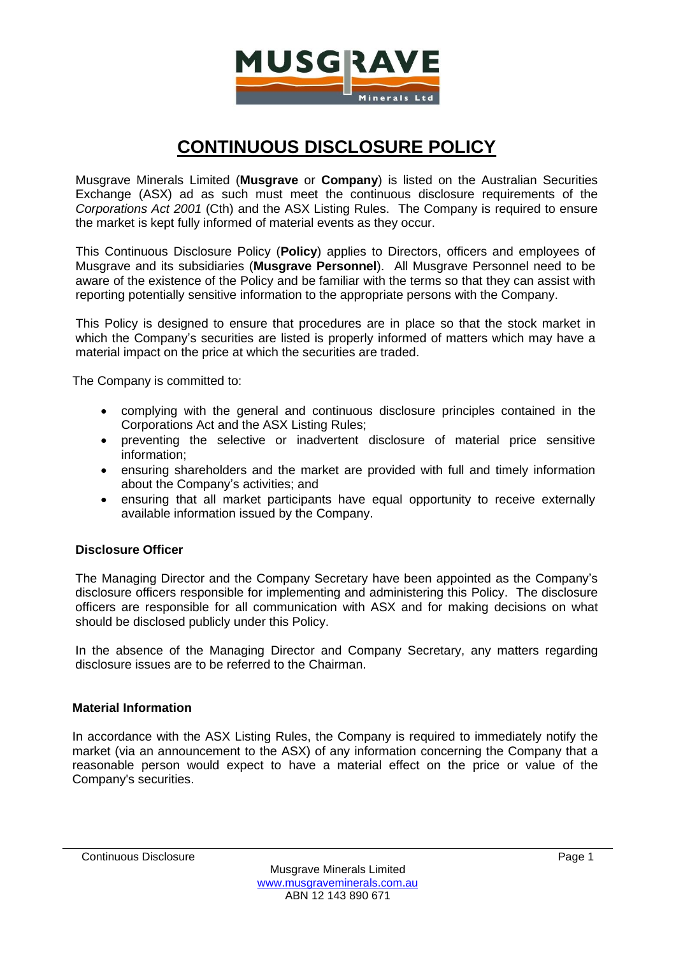

# **CONTINUOUS DISCLOSURE POLICY**

Musgrave Minerals Limited (**Musgrave** or **Company**) is listed on the Australian Securities Exchange (ASX) ad as such must meet the continuous disclosure requirements of the *Corporations Act 2001* (Cth) and the ASX Listing Rules. The Company is required to ensure the market is kept fully informed of material events as they occur.

This Continuous Disclosure Policy (**Policy**) applies to Directors, officers and employees of Musgrave and its subsidiaries (**Musgrave Personnel**). All Musgrave Personnel need to be aware of the existence of the Policy and be familiar with the terms so that they can assist with reporting potentially sensitive information to the appropriate persons with the Company.

This Policy is designed to ensure that procedures are in place so that the stock market in which the Company's securities are listed is properly informed of matters which may have a material impact on the price at which the securities are traded.

The Company is committed to:

- complying with the general and continuous disclosure principles contained in the Corporations Act and the ASX Listing Rules;
- preventing the selective or inadvertent disclosure of material price sensitive information;
- ensuring shareholders and the market are provided with full and timely information about the Company's activities; and
- ensuring that all market participants have equal opportunity to receive externally available information issued by the Company.

# **Disclosure Officer**

The Managing Director and the Company Secretary have been appointed as the Company's disclosure officers responsible for implementing and administering this Policy. The disclosure officers are responsible for all communication with ASX and for making decisions on what should be disclosed publicly under this Policy.

In the absence of the Managing Director and Company Secretary, any matters regarding disclosure issues are to be referred to the Chairman.

# **Material Information**

In accordance with the ASX Listing Rules, the Company is required to immediately notify the market (via an announcement to the ASX) of any information concerning the Company that a reasonable person would expect to have a material effect on the price or value of the Company's securities.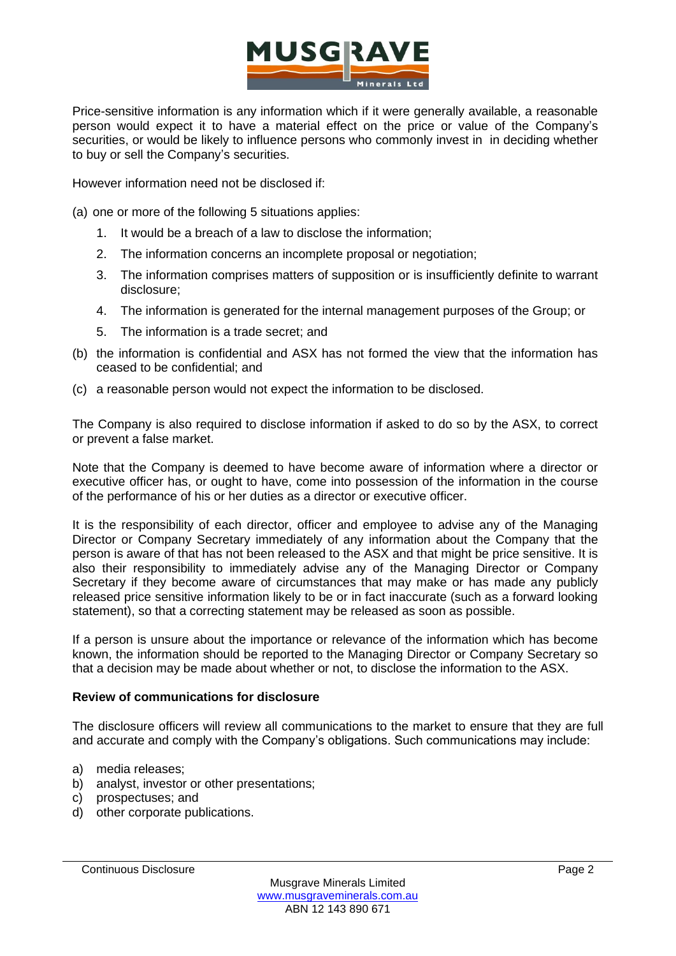

Price-sensitive information is any information which if it were generally available, a reasonable person would expect it to have a material effect on the price or value of the Company's securities, or would be likely to influence persons who commonly invest in in deciding whether to buy or sell the Company's securities.

However information need not be disclosed if:

(a) one or more of the following 5 situations applies:

- 1. It would be a breach of a law to disclose the information;
- 2. The information concerns an incomplete proposal or negotiation;
- 3. The information comprises matters of supposition or is insufficiently definite to warrant disclosure;
- 4. The information is generated for the internal management purposes of the Group; or
- 5. The information is a trade secret; and
- (b) the information is confidential and ASX has not formed the view that the information has ceased to be confidential; and
- (c) a reasonable person would not expect the information to be disclosed.

The Company is also required to disclose information if asked to do so by the ASX, to correct or prevent a false market.

Note that the Company is deemed to have become aware of information where a director or executive officer has, or ought to have, come into possession of the information in the course of the performance of his or her duties as a director or executive officer.

It is the responsibility of each director, officer and employee to advise any of the Managing Director or Company Secretary immediately of any information about the Company that the person is aware of that has not been released to the ASX and that might be price sensitive. It is also their responsibility to immediately advise any of the Managing Director or Company Secretary if they become aware of circumstances that may make or has made any publicly released price sensitive information likely to be or in fact inaccurate (such as a forward looking statement), so that a correcting statement may be released as soon as possible.

If a person is unsure about the importance or relevance of the information which has become known, the information should be reported to the Managing Director or Company Secretary so that a decision may be made about whether or not, to disclose the information to the ASX.

# **Review of communications for disclosure**

The disclosure officers will review all communications to the market to ensure that they are full and accurate and comply with the Company's obligations. Such communications may include:

- a) media releases;
- b) analyst, investor or other presentations;
- c) prospectuses; and
- d) other corporate publications.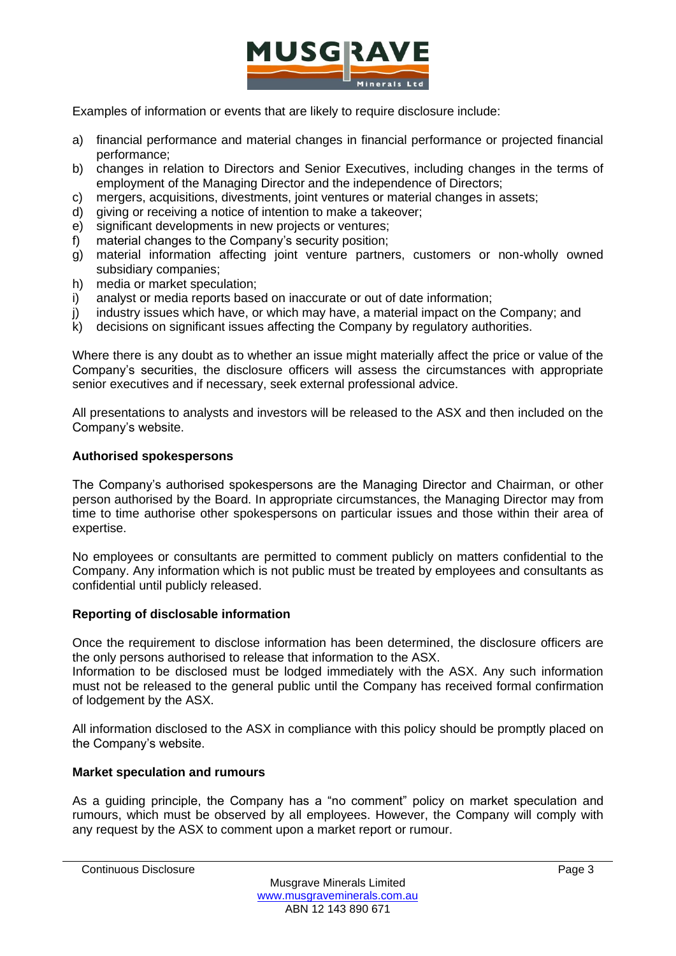

Examples of information or events that are likely to require disclosure include:

- a) financial performance and material changes in financial performance or projected financial performance;
- b) changes in relation to Directors and Senior Executives, including changes in the terms of employment of the Managing Director and the independence of Directors;
- c) mergers, acquisitions, divestments, joint ventures or material changes in assets;
- d) giving or receiving a notice of intention to make a takeover;
- e) significant developments in new projects or ventures;
- f) material changes to the Company's security position;
- g) material information affecting joint venture partners, customers or non-wholly owned subsidiary companies;
- h) media or market speculation;
- i) analyst or media reports based on inaccurate or out of date information;
- j) industry issues which have, or which may have, a material impact on the Company; and
- k) decisions on significant issues affecting the Company by regulatory authorities.

Where there is any doubt as to whether an issue might materially affect the price or value of the Company's securities, the disclosure officers will assess the circumstances with appropriate senior executives and if necessary, seek external professional advice.

All presentations to analysts and investors will be released to the ASX and then included on the Company's website.

# **Authorised spokespersons**

The Company's authorised spokespersons are the Managing Director and Chairman, or other person authorised by the Board. In appropriate circumstances, the Managing Director may from time to time authorise other spokespersons on particular issues and those within their area of expertise.

No employees or consultants are permitted to comment publicly on matters confidential to the Company. Any information which is not public must be treated by employees and consultants as confidential until publicly released.

# **Reporting of disclosable information**

Once the requirement to disclose information has been determined, the disclosure officers are the only persons authorised to release that information to the ASX.

Information to be disclosed must be lodged immediately with the ASX. Any such information must not be released to the general public until the Company has received formal confirmation of lodgement by the ASX.

All information disclosed to the ASX in compliance with this policy should be promptly placed on the Company's website.

# **Market speculation and rumours**

As a guiding principle, the Company has a "no comment" policy on market speculation and rumours, which must be observed by all employees. However, the Company will comply with any request by the ASX to comment upon a market report or rumour.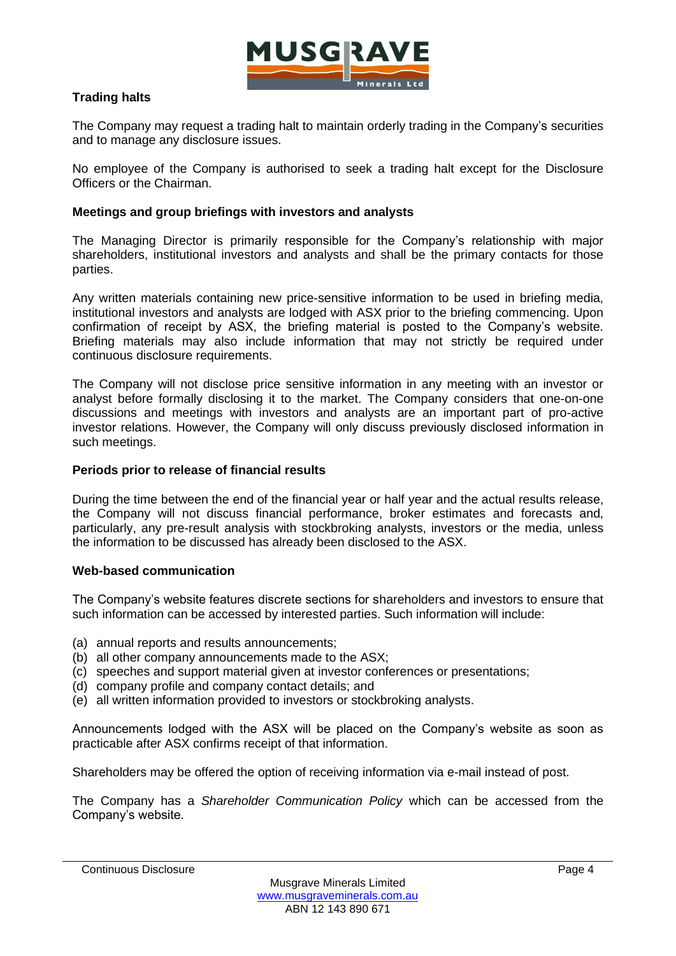

# **Trading halts**

The Company may request a trading halt to maintain orderly trading in the Company's securities and to manage any disclosure issues.

No employee of the Company is authorised to seek a trading halt except for the Disclosure Officers or the Chairman.

### **Meetings and group briefings with investors and analysts**

The Managing Director is primarily responsible for the Company's relationship with major shareholders, institutional investors and analysts and shall be the primary contacts for those parties.

Any written materials containing new price-sensitive information to be used in briefing media, institutional investors and analysts are lodged with ASX prior to the briefing commencing. Upon confirmation of receipt by ASX, the briefing material is posted to the Company's website. Briefing materials may also include information that may not strictly be required under continuous disclosure requirements.

The Company will not disclose price sensitive information in any meeting with an investor or analyst before formally disclosing it to the market. The Company considers that one-on-one discussions and meetings with investors and analysts are an important part of pro-active investor relations. However, the Company will only discuss previously disclosed information in such meetings.

### **Periods prior to release of financial results**

During the time between the end of the financial year or half year and the actual results release, the Company will not discuss financial performance, broker estimates and forecasts and, particularly, any pre-result analysis with stockbroking analysts, investors or the media, unless the information to be discussed has already been disclosed to the ASX.

#### **Web-based communication**

The Company's website features discrete sections for shareholders and investors to ensure that such information can be accessed by interested parties. Such information will include:

- (a) annual reports and results announcements;
- (b) all other company announcements made to the ASX;
- (c) speeches and support material given at investor conferences or presentations;
- (d) company profile and company contact details; and
- (e) all written information provided to investors or stockbroking analysts.

Announcements lodged with the ASX will be placed on the Company's website as soon as practicable after ASX confirms receipt of that information.

Shareholders may be offered the option of receiving information via e-mail instead of post.

The Company has a *Shareholder Communication Policy* which can be accessed from the Company's website.